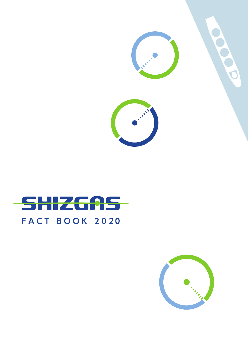



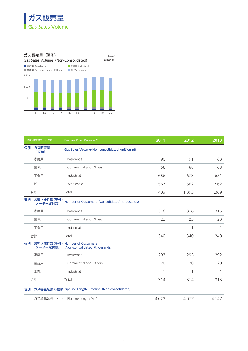



|    | 12月31日に終了した1年間    | Fiscal Year Ended December 31                                             | 2011         | 2012         | 2013         |
|----|-------------------|---------------------------------------------------------------------------|--------------|--------------|--------------|
|    | 個別 ガス販売量<br>(百万㎡) | Gas Sales Volume (Non-consolidated) (million m)                           |              |              |              |
|    | 家庭用               | Residential                                                               | 90           | 91           | 88           |
|    | 業務用               | Commercial and Others                                                     | 66           | 68           | 68           |
|    | 工業用               | Industrial                                                                | 686          | 673          | 651          |
| 卸  |                   | Wholesale                                                                 | 567          | 562          | 562          |
| 合計 |                   | Total                                                                     | 1,409        | 1,393        | 1,369        |
|    |                   | 連結 お客さま件数(千件) Number of Customers (Consolidated) (thousands)<br>(メーター取付数) |              |              |              |
|    | 家庭用               | Residential                                                               | 316          | 316          | 316          |
|    | 業務用               | Commercial and Others                                                     | 23           | 23           | 23           |
|    | 工業用               | Industrial                                                                | $\mathbf{1}$ | $\mathbf{1}$ | $\mathbf{1}$ |
| 合計 |                   | Total                                                                     | 340          | 340          | 340          |
|    | (メーター取付数)         | 個別 お客さま件数 (千件) Number of Customers<br>(Non-consolidated) (thousands)      |              |              |              |
|    | 家庭用               | Residential                                                               | 293          | 293          | 292          |
|    | 業務用               | Commercial and Others                                                     | 20           | 20           | 20           |
|    | 工業用               | Industrial                                                                |              | $\mathbf{1}$ | $\mathbf{1}$ |
| 合計 |                   | Total                                                                     | 314          | 314          | 313          |
|    |                   | 個別 ガス導管延長の推移 Pipeline Length Timeline (Non-consolidated)                  |              |              |              |
|    |                   | ガス導管延長 (km) Pipeline Length (km)                                          | 4,023        | 4,077        | 4,147        |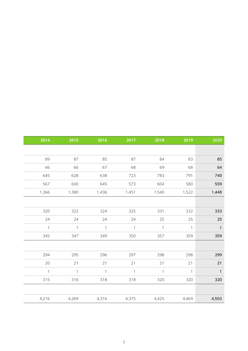| 2020           | 2019           | 2018           | 2017           | 2016           | 2015           | 2014           |
|----------------|----------------|----------------|----------------|----------------|----------------|----------------|
|                |                |                |                |                |                |                |
|                |                |                |                |                |                |                |
| 85             | 83             | 84             | 87             | 85             | 87             | 89             |
| 64             | 68             | 69             | 68             | 67             | 66             | 66             |
| 740            | 791            | 783            | 723            | 638            | 628            | 645            |
| 559            | 580            | 604            | 573            | 645            | 600            | 567            |
| 1,448          | 1,522          | 1,540          | 1,451          | 1,436          | 1,380          | 1,366          |
|                |                |                |                |                |                |                |
| 333            | 332            | 331            | 325            | 324            | 322            | 320            |
| $25\,$         | 25             | 25             | 24             | 24             | 24             | 24             |
| $\overline{1}$ | $\overline{1}$ | $\overline{1}$ | $\overline{1}$ | $\overline{1}$ | $\overline{1}$ | $\overline{1}$ |
| 359            | 359            | 357            | 350            | 349            | 347            | 345            |
|                |                |                |                |                |                |                |
|                |                |                |                |                |                |                |
| 299            | 298            | 298            | 297            | 296            | 295            | 294            |
| 21             | 21             | 21             | 21             | 21             | 21             | 20             |
| $\mathbf{1}$   | $\overline{1}$ | $\overline{1}$ | $\overline{1}$ | $\mathbf{1}$   | $\overline{1}$ | $\overline{1}$ |
| 320            | 320            | 320            | 318            | 318            | 316            | 315            |
|                |                |                |                |                |                |                |
| 4,503          | 4,469          | 4,425          | 4,375          | 4,316          | 4,269          | 4,216          |
|                |                |                |                |                |                |                |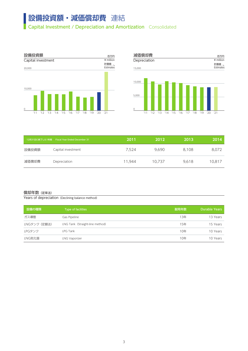## 設備投資額·減価償却費 連結

**Capital Investment / Depreciation and Amortization** Consolidated





|       | 12月31日に終了した1年間 Fiscal Year Ended December 31 | 2011   | 2012   | 2013  | 2014   |
|-------|----------------------------------------------|--------|--------|-------|--------|
| 設備投資額 | Capital investment                           | 7,524  | 9,690  | 8,108 | 8,072  |
| 減価償却費 | Depreciation                                 | 11,944 | 10,737 | 9,618 | 10,817 |

#### 償却年数(定率法)

Years of depreciation (Declining balance method)

| 設備の種類        | Type of facilities              | 耐用年数 | Durable Years |
|--------------|---------------------------------|------|---------------|
| ガス導管         | Gas Pipeline                    | 13年  | 13 Years      |
| LNGタンク (定額法) | LNG Tank (Straight-line method) | 15年  | 15 Years      |
| LPGタンク       | <b>LPG Tank</b>                 | 10年  | 10 Years      |
| LNG気化器       | LNG Vaporizer                   | 10年  | 10 Years      |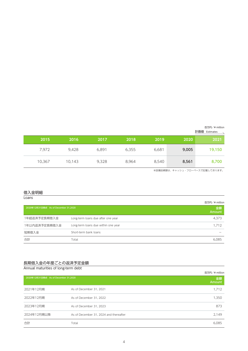| 百万円/¥ million |  |
|---------------|--|
| 計画値 Estimates |  |

※設備投資額は、キャッシュ・フローベースで記載しております。

### 借入金明細

#### **Loans**

|                                      |                                     | 百万円/¥ million |
|--------------------------------------|-------------------------------------|---------------|
| 2020年12月31日時点 As of December 31,2020 |                                     | 金額<br>Amount  |
| 1年超返済予定長期借入金                         | Long-term loans due after one year  | 4,373         |
| 1年以内返済予定長期借入金                        | Long-term loans due within one year | 1.712         |
| 短期借入金                                | Short-term bank loans               |               |
| 合計                                   | Total                               | 6,085         |

#### 長期借入金の年度ごとの返済予定金額

| Annual maturities of long-term debt  |                                        |               |
|--------------------------------------|----------------------------------------|---------------|
|                                      |                                        | 百万円/¥ million |
| 2020年12月31日時点 As of December 31,2020 |                                        | 金額<br>Amount  |
| 2021年12月期                            | As of December 31, 2021                | 1,712         |
| 2022年12月期                            | As of December 31, 2022                | 1,350         |
| 2023年12月期                            | As of December 31, 2023                | 873           |
| 2024年12月期以降                          | As of December 31, 2024 and thereafter | 2,149         |
| 合計                                   | Total                                  | 6,085         |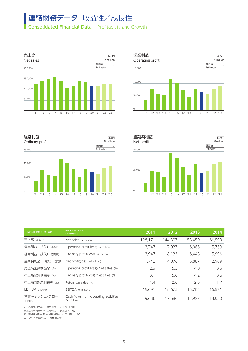# 連結財務データ 収益性/成長性

Consolidated Financial Data Profitability and Growth



H.







| 12月31日に終了した1年間                                | <b>Fiscal Year Ended</b><br>December 31             | 2011   | 2012    | 2013    | 2014                |
|-----------------------------------------------|-----------------------------------------------------|--------|---------|---------|---------------------|
| 売上高 (百万円)                                     | Net sales (¥ million)                               | 128,17 | 144,307 | 153,459 | 166,599             |
| 営業利益 (損失) (百万円)                               | Operating profit(loss) (¥ million)                  | 3,747  | 7,937   | 6,085   | 5,753               |
| 経常利益(損失) (百万円)                                | Ordinary profit(loss) (¥ million)                   | 3,947  | 8,133   | 6,443   | 5,996               |
| 当期純利益 (損失) (百万円) Net profit(loss) (¥ million) |                                                     | 1,743  | 4,078   | 3,887   | 2,909               |
| 売上高営業利益率 (%)                                  | Operating profit(loss)/Net sales (%)                | 2.9    | 5.5     | 4.0     | 3.5                 |
| 売上高経常利益率 (%)                                  | Ordinary profit(loss)/Net sales (%)                 | 3.1    | 5.6     | 4.2     | 3.6                 |
| 売上高当期純利益率 (%)                                 | Return on sales (%)                                 | 1.4    | 2.8     | 2.5     | 17<br>$\frac{1}{2}$ |
| EBITDA (百万円)                                  | EBITDA (¥ million)                                  | 15,691 | 18,675  | 15,704  | 16,571              |
| 営業キャッシュ・フロー<br>(百万円)                          | Cash flows from operating activities<br>(¥ million) | 9,686  | 17,686  | 12,927  | 13,050              |

売上高営業利益率 = 営業利益 ÷ 売上高 × 100

売上高経常利益率 = 経常利益 ÷ 売上高 × 100

売上高当期純利益率 = 当期純利益 ÷ 売上高 × 100

EBITDA = 営業利益 + 減価償却費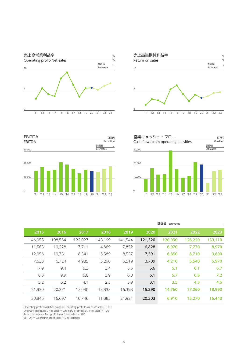





| 営業キャッシュ・フロー                          |                                 | 百万円                |
|--------------------------------------|---------------------------------|--------------------|
| Cash flows from operating activities |                                 | ¥ million          |
|                                      |                                 | 計画値                |
| 30,000                               |                                 | Estimates          |
|                                      |                                 |                    |
|                                      |                                 |                    |
| 20,000                               |                                 |                    |
|                                      |                                 |                    |
|                                      |                                 |                    |
| 10,000                               |                                 |                    |
|                                      |                                 |                    |
|                                      |                                 |                    |
|                                      |                                 |                    |
| '11                                  | "12 "13 "14 "15 "16 "17 "18 "19 | '20<br>'21 '22 '23 |

| 計画値 Estimates                |         |         |         |         |         |         |
|------------------------------|---------|---------|---------|---------|---------|---------|
| 2022<br>2021                 | 2020    | 2019    | 2018    | 2017    | 2016    | 2015    |
| 133,110<br>128,220<br>20,090 | 121,320 | 141,544 | 143,199 | 122,027 | 108,554 | 146,058 |
| 6,070<br>7,770               | 6,828   | 7,852   | 4,869   | 7,711   | 10,228  | 11,563  |
| 6,850<br>8,710               | 7,391   | 8,537   | 5,589   | 8,341   | 10,731  | 12,056  |
| 5,540<br>4,210               | 3,709   | 5,519   | 3,290   | 4,985   | 6,724   | 7,638   |
| 5.6<br>5.1<br>6.1            |         | 5.5     | 3.4     | 6.3     | 9.4     | 7.9     |
| 6.1<br>6.8<br>5.7            |         | 6.0     | 3.9     | 6.8     | 9.9     | 8.3     |
| 3.1<br>3.5<br>4.3            |         | 3.9     | 2.3     | 4.1     | 6.2     | 5.2     |
| 14,760<br>17,060             | 15,390  | 16,393  | 13,833  | 17,040  | 20,371  | 21,930  |
| 15,270<br>6,910              | 20,303  | 21,921  | 11,885  | 10,746  | 16,697  | 30,845  |

Operating profit(loss)/Net sales = Operating profit(loss) / Net sales × 100

Ordinary profit(loss)/Net sales = Ordinary profit(loss) / Net sales × 100

Return on sales = Net profit(loss) / Net sales × 100

EBITDA = Operating profit(loss) + Depreciation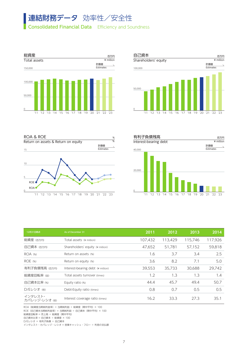# 連結財務データ 効率性/安全性

Consolidated Financial Data Efficiency and Soundness









| 12月31日時点                 | As of December 31                 | 2011    | 2012                    | 2013   | 2014    |
|--------------------------|-----------------------------------|---------|-------------------------|--------|---------|
| 総資産 (百万円)                | Total assets (¥ million)          | 107,432 | 13,429                  | 15,746 | 117,926 |
| 自己資本 (百万円)               | Shareholders' equity (¥ million)  | 47,652  | 51,781                  | 57,152 | 59,818  |
| ROA (%)                  | Return on assets (%)              | 1.6     | 3.7                     | 3.4    | 2.5     |
| ROE (%)                  | Return on equity (%)              | 3.6     | 8.2                     | 7.1    | 5.0     |
| 有利子負債残高 (百万円)            | Interest-bearing debt (¥ million) | 39,553  | 35,733                  | 30,688 | 29,742  |
| 総資産回転率 (回)               | Total assets turnover (times)     | 1.2     | 1 <sup>2</sup><br>ر . ا | 1.3    | 1.4     |
| 自己資本比率 (%)               | Equity ratio (%)                  | 44.4    | 45.7                    | 49.4   | 50.7    |
| D/Eレシオ (倍)               | Debt-Equity ratio (times)         | 0.8     | 0.7                     | 0.5    | 0.5     |
| インタレスト・<br>カバレッジ・レシオ (倍) | Interest coverage ratio (times)   | 16.2    | 33.3                    | 27.3   | 35.1    |

ROA(総資産当期純利益率) = 当期純利益 ÷ 総資産(期中平均) × 100 ROE(自己資本当期純利益率) = 当期純利益 ÷ 自己資本(期中平均) × 100 総資産回転率 = 売上高 ÷ 総資産(期中平均) 自己資本比率 = 自己資本 ÷ 総資産 × 100 D/Eレシオ = 有利子負債 ÷ 自己資本 インタレスト・カバレッジ・レシオ = 営業キャッシュ・フロー ÷ 利息の支払額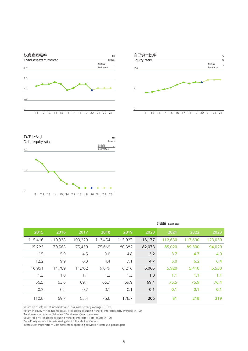





|         |         |         |        |         |         | 計画値 Estimates |         |         |
|---------|---------|---------|--------|---------|---------|---------------|---------|---------|
| 2015    | 2016    | 2017    | 2018   | 2019    | 2020    | 2021          | 2022    | 2023    |
| 115,466 | 110,938 | 109,229 | 13,454 | 115,027 | 118,177 | 12,630        | 117,690 | 123,030 |
| 65,223  | 70,563  | 75,459  | 75,669 | 80,382  | 82,073  | 85,020        | 89,300  | 94,020  |
| 6.5     | 5.9     | 4.5     | 3.0    | 4.8     | 3.2     | 3.7           | 4.7     | 4.9     |
| 12.2    | 9.9     | 6.8     | 4.4    | 7.1     | 4.7     | 5.0           | 6.2     | 6.4     |
| 18,961  | 14,789  | 11,702  | 9,879  | 8,216   | 6,085   | 5,920         | 5,410   | 5,530   |
| 1.3     | 1.0     | 1.1     | 1.3    | 1.3     | 1.0     | 1.1           | 1.1     | 1.1     |
| 56.5    | 63.6    | 69.1    | 66.7   | 69.9    | 69.4    | 75.5          | 75.9    | 76.4    |
| 0.3     | 0.2     | 0.2     | 0.1    | 0.1     | 0.1     | 0.1           | 0.1     | 0.1     |
| 110.8   | 69.7    | 55.4    | 75.6   | 176.7   | 206     | 81            | 218     | 319     |

Return on assets = Net income(loss) / Total assets(yearly average) × 100

Return in equity = Net income(loss) / Net assets excluding Minority interests(yearly average) × 100

Total assets turnover = Net sales / Total assets(yearly average)

Equity ratio = Net assets excluding Minority interests / Total assets × 100

Debt-Equity ratio = Interest-bearing debt / Shareholders' equity

Interest coverage ratio = Cash flows from operating activities / Interest expenses paid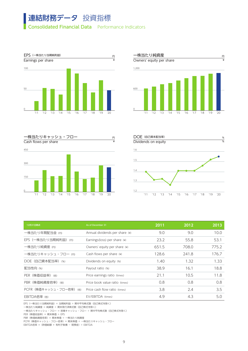## 連結財務データ 投資指標 Consolidated Financial Data Performance Indicators









| 12月31日時点                 | As of December 31              | 2011  | 2012  | 2013  |
|--------------------------|--------------------------------|-------|-------|-------|
| 一株当たり年間配当金(円)            | Annual dividends per share (¥) | 9.0   | 9.0   | 10.0  |
| EPS (一株当たり当期純利益) (円)     | Earnings(loss) per share (¥)   | 23.2  | 55.8  | 53.1  |
| 一株当たり純資産(円)              | Owners' equity per share (¥)   | 651.5 | 708.0 | 775.2 |
| 一株当たりキャッシュ・フロー (円)       | Cash flows per share $(*)$     | 128.6 | 241.8 | 176.7 |
| DOE (自己資本配当率) (%)        | Dividends on equity (%)        | 1.40  | 1.32  | 1.33  |
| 配当性向 (%)                 | Payout ratio (%)               | 38.9  | 16.1  | 18.8  |
| PER (株価収益率) (倍)          | Price earnings ratio (times)   | 21.1  | 10.5  | 11.8  |
| PBR (株価純資産倍率) (倍)        | Price book value ratio (times) | 0.8   | 0.8   | 0.8   |
| PCFR (株価キャッシュ・フロー倍率) (倍) | Price cash flow ratio (times)  | 3.8   | 2.4   | 3.5   |
| EBITDA倍率 (倍)             | EV/EBITDA (times)              | 4.9   | 4.3   | 5.0   |

EPS(一株当たり当期純利益) = 当期純利益 ÷ 期中平均株式数(自己株式を除く)

一株当たり純資産 = 純資産 ÷ 期末発行済株式数(自己株式を除く)

一株当たりキャッシュ・フロー = 営業キャッシュ・フロー ÷ 期中平均株式数(自己株式を除く)

PER(株価収益率) = 期末株価 ÷ EPS

PBR(株価純資産倍率) = 期末株価 ÷ 一株当たり純資産

PCFR(株価キャッシュ・フロー倍率) = 期末株価 ÷ 一株当たりキャッシュ・フロー

EBITDA倍率 = (時価総額 + 有利子負債 - 現預金) ÷ EBITDA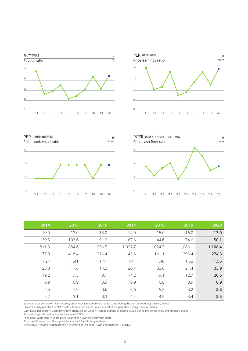







| 2019    | 2018    | 2017    | 2016  | 2015  | 2014  |
|---------|---------|---------|-------|-------|-------|
| 16.0    | 15.0    | 14.0    | 13.0  | 12.0  | 10.0  |
| 74.6    | 44.6    | 67.6    | 91.2  | 103.6 | 39.5  |
| 1,086.1 | 1,024.7 | 1,022.7 | 956.5 | 884.6 | 811.3 |
| 296.4   | 161.1   | 145.6   | 226.4 | 418.4 | 177.0 |
| 1.52    | 1.46    | 1.41    | 1.41  | 1.41  | 1.27  |
| 21.4    | 33.6    | 20.7    | 14.3  | 11.6  | 25.3  |
| 12.7    | 19.1    | 14.2    | 9.1   | 7.5   | 19.2  |
| 0.9     | $0.8\,$ | 0.9     | 0.9   | 0.9   | 0.9   |
| 3.2     | 5.3     | 6.6     | 3.6   | 1.9   | 4.3   |
| 3.4     | 4.5     | 4.4     | 3.3   | 3.1   | 5.2   |

Earnings(loss) per share = Net income(loss) / Average number of shares issued during the period(excluding treasury shares)

Owners' equity per share = Net assets / Number of shares issued at end of the period(excluding treasury shares)

Cash flows per share = Cash flows from operating activities / Average number of shares issued during the period(excluding treasury shares)

Price earnings ratio = Share price (year-end) / EPS

Price book value ratio = Share price (year-end) / Owners' equity per share

Price cash flow ratio = Share price (year-end) / Cash flows per share

EV/EBITDA = (Market capitalization + Interest-bearing debt - Cash and deposits) / EBITDA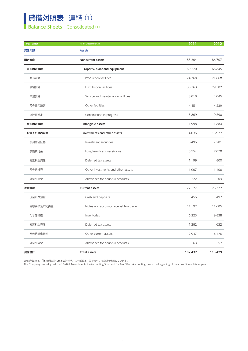### 貸借対照表 連結 ⑴ **Balance Sheets** Consolidated (1)

| 12月31日時点  | As of December 31                     | $\boxed{2011}$ | 2012    |
|-----------|---------------------------------------|----------------|---------|
| 資産の部      | Assets                                |                |         |
| 固定資産      | Noncurrent assets                     | 85,304         | 86,707  |
| 有形固定資産    | Property, plant and equipment         | 69,270         | 68,845  |
| 製造設備      | Production facilities                 | 24,768         | 21,668  |
| 供給設備      | Distribution facilities               | 30,363         | 29,302  |
| 業務設備      | Service and maintenance facilities    | 3,818          | 4,045   |
| その他の設備    | Other facilities                      | 4,451          | 4,239   |
| 建設仮勘定     | Construction in progress              | 5,869          | 9,590   |
| 無形固定資産    | Intangible assets                     | 1,998          | 1,884   |
| 投資その他の資産  | Investments and other assets          | 14,035         | 15,977  |
| 投資有価証券    | Investment securities                 | 6,495          | 7,201   |
| 長期貸付金     | Long-term loans receivable            | 5,554          | 7,078   |
| 繰延税金資産    | Deferred tax assets                   | 1,199          | 800     |
| その他投資     | Other investments and other assets    | 1,007          | 1,106   |
| 貸倒引当金     | Allowance for doubtful accounts       | $-222$         | $-209$  |
| 流動資産      | Current assets                        | 22,127         | 26,722  |
| 現金及び預金    | Cash and deposits                     | 455            | 497     |
| 受取手形及び売掛金 | Notes and accounts receivable - trade | 11,192         | 11,685  |
| たな卸資産     | Inventories                           | 6,223          | 9,838   |
| 繰延税金資産    | Deferred tax assets                   | 1,382          | 632     |
| その他流動資産   | Other current assets                  | 2,937          | 4,126   |
| 貸倒引当金     | Allowance for doubtful accounts       | $-63$          | $-57$   |
| 資産合計      | Total assets                          | 107,432        | 113,429 |

2018年以降は、「『税効果会計に係る会計基準』の一部改正」等を適用した金額で表示しています。

The Company has adopted the "Partial Amendments to Accounting Standard for Tax Effect Accounting" from the beginning of the consolidated fiscal year.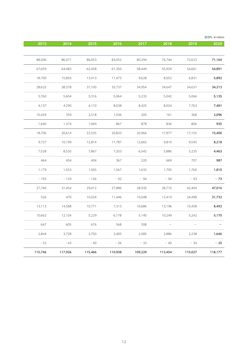| 百万円/¥ million |                                 |                          |         |         |         |         |         |
|---------------|---------------------------------|--------------------------|---------|---------|---------|---------|---------|
| 2020          | 2019                            | 2018                     | 2017    | 2016    | 2015    | 2014    | 2013    |
|               |                                 |                          |         |         |         |         |         |
| 71,160        | 72,623                          | 74,744                   | 80,294  | 83,052  | 86,053  | 86,471  | 88,006  |
| 54,891        | 54,661                          | 55,929                   | 58,449  | 61,350  | 62,458  | 64,483  | 67,659  |
| 5,892         | 6,831                           | 8,052                    | 9,628   | 11,473  | 13,413  | 15,850  | 18,700  |
| 34,213        | 34,631                          | 34,647                   | 34,954  | 35,737  | 37,100  | 38,378  | 28,632  |
| 5,135         | 5,066                           | 5,042                    | 5,235   | 5,064   | 5,316   | 5,604   | 5,760   |
| 7,481         | 7,763                           | 8,024                    | 8,425   | 8,038   | 4,110   | 4,290   | 4,137   |
| 2,096         | 368                             | 161                      | 205     | 1,036   | 2,518   | 359     | 10,429  |
| 935           | 806                             | 836                      | 878     | 867     | 1,069   | 1,374   | 1,640   |
| 15,406        | 17,155                          | 17,977                   | 20,966  | 20,833  | 22,525  | 20,614  | 18,706  |
| 8,218         | 9,545                           | 9,810                    | 12,665  | 11,787  | 12,814  | 10,199  | 9,727   |
| 4,463         | 5,235                           | 5,886                    | 6,542   | 7,203   | 7,867   | 8,535   | 7,528   |
| 987           | 707                             | 669                      | 220     | 367     | 404     | 454     | 464     |
| 1,810         | 1,760                           | 1,705                    | 1,632   | 1,567   | 1,565   | 1,553   | 1,179   |
| $-73$         | $-93$                           | $-94$                    | $-94$   | $-92$   | $-126$  | $-129$  | $-193$  |
| 47,016        | 42,404                          | 38,710                   | 28,935  | 27,886  | 29,412  | 31,454  | 27,740  |
| 31,732        | 24,498                          | 12,419                   | 10,048  | 11,446  | 10,024  | 470     | 526     |
| 8,492         | 10,458                          | 13,196                   | 10,686  | 7,313   | 10,771  | 14,588  | 13,113  |
| 5,170         | 5,242                           | 10,249                   | 5,140   | 6,178   | 5,229   | 12,104  | 10,662  |
|               | $\hspace{0.1mm}-\hspace{0.1mm}$ | $\overline{\phantom{m}}$ | 508     | 568     | 676     | 605     | 647     |
| 1,646         | 2,238                           | 2,886                    | 2,585   | 2,405   | 2,750   | 3,728   | 2,844   |
| $-25$         | $-34$                           | $-40$                    | $-33$   | $-26$   | $-40$   | $-43$   | $-53$   |
|               |                                 |                          |         |         |         |         |         |
| 118,177       | 115,027                         | 113,454                  | 109,229 | 110,938 | 115,466 | 117,926 | 115,746 |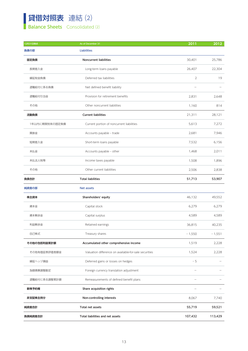### 貸借対照表 連結 ⑵ **Balance Sheets** Consolidated (2)

| 12月31日時点       | As of December 31                                     | 2011                            | $\boxed{2012}$                  |
|----------------|-------------------------------------------------------|---------------------------------|---------------------------------|
| 負債の部           | Liabilities                                           |                                 |                                 |
| 固定負債           | Noncurrent liabilities                                | 30,401                          | 25,786                          |
| 長期借入金          | Long-term loans payable                               | 26,407                          | 22,304                          |
| 繰延税金負債         | Deferred tax liabilities                              | $\overline{2}$                  | 19                              |
| 退職給付に係る負債      | Net defined benefit liability                         | $\hspace{0.1mm}-\hspace{0.1mm}$ | $\hspace{0.1mm}-\hspace{0.1mm}$ |
| 退職給付引当金        | Provision for retirement benefits                     | 2,831                           | 2,648                           |
| その他            | Other noncurrent liabilities                          | 1,160                           | 814                             |
| 流動負債           | <b>Current liabilities</b>                            | 21,311                          | 28,121                          |
| 1年以内に期限到来の固定負債 | Current portion of noncurrent liabilities             | 5,613                           | 7,272                           |
| 買掛金            | Accounts payable - trade                              | 2,681                           | 7,946                           |
| 短期借入金          | Short-term loans payable                              | 7,532                           | 6,156                           |
| 未払金            | Accounts payable - other                              | 1,468                           | 2,011                           |
| 未払法人税等         | Income taxes payable                                  | 1,508                           | 1,896                           |
| その他            | Other current liabilities                             | 2,506                           | 2,838                           |
| 負債合計           | <b>Total liabilities</b>                              | 51,713                          | 53,907                          |
| 純資産の部          | Net assets                                            |                                 |                                 |
| 株主資本           | Shareholders' equity                                  | 46,132                          | 49,552                          |
| 資本金            | Capital stock                                         | 6,279                           | 6,279                           |
| 資本剰余金          | Capital surplus                                       | 4,589                           | 4,589                           |
| 利益剰余金          | Retained earnings                                     | 36,815                          | 40,235                          |
| 自己株式           | Treasury shares                                       | $-1,550$                        | $-1,551$                        |
| その他の包括利益累計額    | Accumulated other comprehensive income                | 1,519                           | 2,228                           |
| その他有価証券評価差額金   | Valuation difference on available-for-sale securities | 1,524                           | 2,228                           |
| 繰延ヘッジ損益        | Deferred gains or losses on hedges                    | $-5$                            | $\overline{\phantom{a}}$        |
| 為替換算調整勘定       | Foreign currency translation adjustment               |                                 |                                 |
| 退職給付に係る調整累計額   | Remeasurements of defined benefit plans               |                                 |                                 |
| 新株予約権          | Share acquisition rights                              |                                 |                                 |
| 非支配株主持分        | Non-controlling interests                             | 8,067                           | 7,740                           |
| 純資産合計          | Total net assets                                      | 55,719                          | 59,521                          |
| 負債純資産合計        | Total liabilities and net assets                      | 107,432                         | 113,429                         |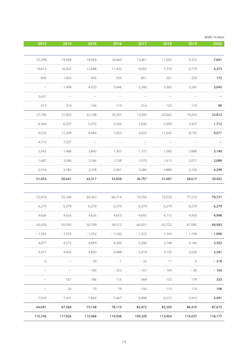| 百万円/¥ million                   |                          |                          |                          |                          |                          |                                 |          |
|---------------------------------|--------------------------|--------------------------|--------------------------|--------------------------|--------------------------|---------------------------------|----------|
| $\boxed{2020}$                  | 2019                     | 2018                     | 2017                     | 2016                     | 2015                     | 2014                            | 2013     |
|                                 |                          |                          |                          |                          |                          |                                 |          |
| 7,691                           | 9,373                    | 11,055                   | 13,461                   | 16,060                   | 18,569                   | 19,588                          | 23,298   |
| 4,373                           | 5,779                    | 7,370                    | 9,055                    | 11,432                   | 13,688                   | 16,267                          | 19,613   |
| 172                             | 229                      | 201                      | 851                      | 559                      | 690                      | 1,093                           | 839      |
| 3,045                           | 3,245                    | 3,362                    | 3,340                    | 3,948                    | 4,033                    | 1,908                           | $ \,$    |
| $-$                             | $\overline{\phantom{m}}$ | $\overline{\phantom{m}}$ | $\overline{\phantom{a}}$ | $\overline{\phantom{a}}$ | $\overline{\phantom{a}}$ | $\overline{\phantom{a}}$        | 2,431    |
| 99                              | 119                      | 120                      | 214                      | 119                      | 156                      | 319                             | 413      |
| 22,812                          | 19,243                   | 20,042                   | 13,295                   | 16,767                   | 23,748                   | 31,053                          | 27,756   |
| 1,712                           | 2,437                    | 2,509                    | 2,646                    | 3,356                    | 5,272                    | 6,237                           | 6,364    |
| 9,571                           | 8,735                    | 11,645                   | 4,025                    | 7,503                    | 8,084                    | 11,209                          | 9,535    |
| $\hspace{0.1mm}-\hspace{0.1mm}$ | $\overline{\phantom{m}}$ | $\overline{\phantom{a}}$ | $\overline{\phantom{m}}$ | $\overline{\phantom{m}}$ | $\overline{\phantom{a}}$ | 7,237                           | 4,710    |
| 3,140                           | 2,888                    | 1,585                    | 1,772                    | 1,307                    | 3,845                    | 1,486                           | 2,542    |
| 2,089                           | 2,077                    | 1,412                    | 1,570                    | 1,238                    | 3,166                    | 2,096                           | 1,687    |
| 6,299                           | 3,105                    | 2,889                    | 3,280                    | 3,361                    | 3,378                    | 2,783                           | 2,916    |
| 30,503                          | 28,617                   | 31,097                   | 26,757                   | 32,828                   | 42,317                   | 50,641                          | 51,055   |
|                                 |                          |                          |                          |                          |                          |                                 |          |
| 79,721                          | 77,215                   | 72,520                   | 70,250                   | 66,214                   | 60,363                   | 55,246                          | 53,074   |
| 6,279                           | 6,279                    | 6,279                    | 6,279                    | 6,279                    | 6,279                    | 6,279                           | 6,279    |
| 4,948                           | 4,950                    | 4,712                    | 4,692                    | 4,653                    | 4,626                    | 4,626                           | 4,626    |
| 69,583                          | 67,095                   | 62,722                   | 60,501                   | 56,512                   | 50,709                   | 45,592                          | 43,420   |
|                                 | $-1,109$                 | $-1,193$                 | $-1,222$                 | $-1,230$                 | $-1,252$                 | $-1,252$                        | $-1,252$ |
| $-1,090$                        |                          |                          |                          |                          |                          |                                 |          |
| 2,352                           | 3,166                    | 3,148                    | 5,208                    | 4,349                    | 4,859                    | 4,572                           | 4,077    |
| 2,341                           | 3,020                    | 3,132                    | 5,019                    | 4,488                    | 4,893                    | 4,405                           | 4,071    |
| $-218$                          | 6                        | 11                       | $-32$                    | $-1$                     | $-39$                    | $\hspace{0.1mm}-\hspace{0.1mm}$ | 6        |
| $-104$                          | $-40$                    | $-149$                   | $-147$                   | $-253$                   | $-180$                   | $-$                             | $ \,$    |
| 333                             | 179                      | 153                      | 368                      | 115                      | 186                      | 167                             | $ \,$    |
| 108                             | 114                      | 115                      | 104                      | 79                       | 70                       | 34                              | $ \,$    |
| 5,491                           | 5,914                    | 6,572                    | 6,908                    | 7,467                    | 7,854                    | 7,431                           | 7,539    |
| 87,673                          | 86,410                   | 82,356                   | 82,472                   | 78,110                   | 73,148                   | 67,284                          | 64,691   |
| 118,177                         | 115,027                  | 113,454                  | 109,229                  | 110,938                  | 115,466                  | 117,926                         | 115,746  |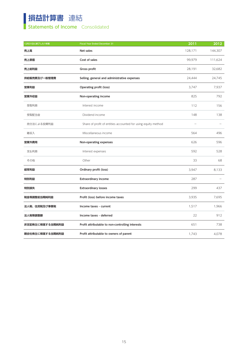## 損益計算書 連結

### **Statements of Income** Consolidated

| 12月31日に終了した1年間  | Fiscal Year Ended December 31                                 | $\boxed{2011}$           | 2012                            |
|-----------------|---------------------------------------------------------------|--------------------------|---------------------------------|
| 売上高             | Net sales                                                     | 128,171                  | 144,307                         |
| 売上原価            | Cost of sales                                                 | 99,979                   | 111,624                         |
| 売上総利益           | Gross profit                                                  | 28,191                   | 32,682                          |
| 供給販売費及び一般管理費    | Selling, general and administrative expenses                  | 24,444                   | 24,745                          |
| 営業利益            | Operating profit (loss)                                       | 3,747                    | 7,937                           |
| 営業外収益           | Non-operating income                                          | 825                      | 792                             |
| 受取利息            | Interest income                                               | 112                      | 156                             |
| 受取配当金           | Dividend income                                               | 148                      | 138                             |
| 持分法による投資利益      | Share of profit of entities accounted for using equity method | $\overline{\phantom{a}}$ | $\overline{\phantom{m}}$        |
| 雑収入             | Miscellaneous income                                          | 564                      | 496                             |
| 営業外費用           | Non-operating expenses                                        | 626                      | 596                             |
| 支払利息            | Interest expenses                                             | 592                      | 528                             |
| その他             | Other                                                         | 33                       | 68                              |
| 経常利益            | Ordinary profit (loss)                                        | 3,947                    | 8,133                           |
| 特別利益            | <b>Extraordinary income</b>                                   | 287                      | $\hspace{0.1mm}-\hspace{0.1mm}$ |
| 特別損失            | <b>Extraordinary losses</b>                                   | 299                      | 437                             |
| 税金等調整前当期純利益     | Profit (loss) before income taxes                             | 3,935                    | 7,695                           |
| 法人税、住民税及び事業税    | Income taxes - current                                        | 1,517                    | 1,966                           |
| 法人税等調整額         | Income taxes - deferred                                       | 22                       | 912                             |
| 非支配株主に帰属する当期純利益 | Profit attributable to non-controlling interests              | 651                      | 738                             |
| 親会社株主に帰属する当期純利益 | Profit attributable to owners of parent                       | 1,743                    | 4,078                           |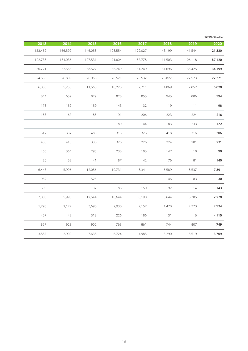| 百万円/¥ millior |                |         |                                 |                                 |         |                                 |                          |
|---------------|----------------|---------|---------------------------------|---------------------------------|---------|---------------------------------|--------------------------|
| 2020          | 2019           | 2018    | 2017                            | 2016                            | 2015    | 2014                            | 2013                     |
| 121,320       | 141,544        | 143,199 | 122,027                         | 108,554                         | 146,058 | 166,599                         | 153,459                  |
| 87,120        | 106,118        | 111,503 | 87,778                          | 71,804                          | 107,531 | 134,036                         | 122,738                  |
| 34,199        | 35,425         | 31,696  | 34,249                          | 36,749                          | 38,527  | 32,563                          | 30,721                   |
| 27,371        | 27,573         | 26,827  | 26,537                          | 26,521                          | 26,963  | 26,809                          | 24,635                   |
| 6,828         | 7,852          | 4,869   | 7,711                           | 10,228                          | 11,563  | 5,753                           | 6,085                    |
| 794           | 886            | 945     | 855                             | 828                             | 829     | 659                             | 844                      |
| 98            | 111            | 119     | 132                             | 143                             | 159     | 159                             | 178                      |
| 216           | 224            | 223     | 206                             | 191                             | 185     | 167                             | 153                      |
| 172           | 233            | 183     | 144                             | 180                             | $\sim$  | $ \,$                           | $\overline{\phantom{a}}$ |
| 306           | 316            | 418     | 373                             | 313                             | 485     | 332                             | 512                      |
| 231           | 201            | 224     | 226                             | 326                             | 336     | 416                             | 486                      |
| 90            | 118            | 147     | 183                             | 238                             | 295     | 364                             | 465                      |
| 140           | 81             | 76      | 42                              | 87                              | 41      | 52                              | 20                       |
| 7,391         | 8,537          | 5,589   | 8,341                           | 10,731                          | 12,056  | 5,996                           | 6,443                    |
| 30            | 183            | 146     | $\hspace{0.1mm}-\hspace{0.1mm}$ | $\hspace{0.1mm}-\hspace{0.1mm}$ | 525     | $\hspace{0.1mm}-\hspace{0.1mm}$ | 952                      |
| 143           | 14             | 92      | 150                             | 86                              | 37      | $ \,$                           | 395                      |
| 7,278         | 8,705          | 5,644   | 8,190                           | 10,644                          | 12,544  | 5,996                           | 7,000                    |
| 2,934         | 2,373          | 1,478   | 2,157                           | 2,930                           | 3,690   | 2,122                           | 1,798                    |
| $-115$        | 5 <sup>5</sup> | 131     | 186                             | 226                             | 313     | 42                              | 457                      |
| 749           | 807            | 744     | 861                             | 763                             | 902     | 923                             | 857                      |
| 3,709         | 5,519          | 3,290   | 4,985                           | 6,724                           | 7,638   | 2,909                           | 3,887                    |
|               |                |         |                                 |                                 |         |                                 |                          |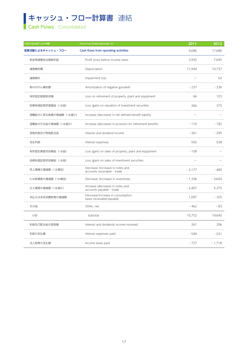## キャッシュ・フロー計算書 連結

**Cash Flows** Consolidated

| 12月31日に終了した1年間       | Fiscal Year Ended December 31                                   | 2011                     | 2012                            |
|----------------------|-----------------------------------------------------------------|--------------------------|---------------------------------|
| 営業活動によるキャッシュ・フロー     | Cash flows from operating activities                            | 9,686                    | 17,686                          |
| 税金等調整前当期純利益          | Profit (loss) before income taxes                               | 3,935                    | 7,695                           |
| 減価償却費                | Depreciation                                                    | 11,944                   | 10,737                          |
| 減損損失                 | Impairment loss                                                 | $\overline{\phantom{a}}$ | 62                              |
| 負ののれん償却額             | Amortization of negative goodwill                               | $-237$                   | $-236$                          |
| 有形固定資産除却損            | Loss on retirement of property, plant and equipment             | 66                       | 103                             |
| 投資有価証券評価損益(-は益)      | Loss (gain) on valuation of investment securities               | 266                      | 375                             |
| 退職給付に係る負債の増減額 (-は減少) | Increase (decrease) in net defined benefit liability            |                          | $\equiv$                        |
| 退職給付引当金の増減額 (-は減少)   | Increase (decrease) in provision for retirement benefits        | $-110$                   | $-182$                          |
| 受取利息及び受取配当金          | Interest and dividend income                                    | $-261$                   | $-295$                          |
| 支払利息                 | Interest expenses                                               | 592                      | 528                             |
| 有形固定資産売却損益 (-は益)     | Loss (gain) on sales of property, plant and equipment           | $-158$                   | $\equiv$                        |
| 投資有価証券売却損益 (-は益)     | Loss (gain) on sales of investment securities                   | $\overline{\phantom{0}}$ | $\hspace{0.1mm}-\hspace{0.1mm}$ |
| 売上債権の増減額 (-は増加)      | Decrease (increase) in notes and<br>accounts receivable - trade | $-2,177$                 | $-480$                          |
| たな卸資産の増減額 (-は増加)     | Decrease (increase) in inventories                              | $-1,336$                 | $-3,604$                        |
| 仕入債務の増減額 (-は減少)      | Increase (decrease) in notes and<br>accounts payable - trade    | $-2,407$                 | 5,375                           |
| 未払又は未収消費税等の増減額       | Decrease/increase in consumption<br>taxes receivable/payable    | 1,097                    | $-355$                          |
| その他                  | Other, net                                                      | $-462$                   | $-83$                           |
| 小計                   | Subtotal                                                        | 10,752                   | 19,640                          |
| 利息及び配当金の受取額          | Interest and dividends income received                          | 261                      | 296                             |
| 利息の支払額               | Interest expenses paid                                          | - 599                    | $-531$                          |
| 法人税等の支払額             | Income taxes paid                                               | $-727$                   | $-1,718$                        |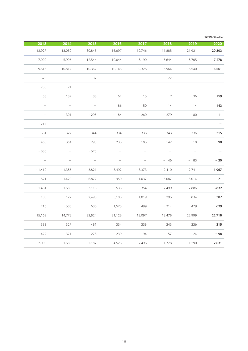| 百万円/¥ millior |                                 |                                 |                                 |                                 |                                 |                                 |                                 |
|---------------|---------------------------------|---------------------------------|---------------------------------|---------------------------------|---------------------------------|---------------------------------|---------------------------------|
| 2020          | 2019                            | 2018                            | 2017                            | 2016                            | 2015                            | 2014                            | 2013                            |
| 20,303        | 21,921                          | 11,885                          | 10,746                          | 16,697                          | 30,845                          | 13,050                          | 12,927                          |
| 7,278         | 8,705                           | 5,644                           | 8,190                           | 10,644                          | 12,544                          | 5,996                           | 7,000                           |
| 8,561         | 8,540                           | 8,964                           | 9,328                           | 10,143                          | 10,367                          | 10,817                          | 9,618                           |
| $\equiv$      | $\hspace{0.1mm}-\hspace{0.1mm}$ | 77                              | $ \,$                           | $\hspace{0.1mm}-\hspace{0.1mm}$ | 37                              | $\sim$ $-$                      | 323                             |
| $\sim$        | $\overline{\phantom{a}}$        | $\overline{\phantom{a}}$        | $\overline{\phantom{a}}$        | $\overline{\phantom{a}}$        | $\overline{\phantom{a}}$        | $-21$                           | $-236$                          |
| 159           | 36                              | $7\overline{ }$                 | 15                              | 62                              | 38                              | 132                             | 58                              |
| 143           | 14                              | 14                              | 150                             | 86                              | $\overline{\phantom{a}}$        | $\overline{\phantom{a}}$        | $\hspace{0.1mm}-\hspace{0.1mm}$ |
| 11            | $-80$                           | $-279$                          | $-260$                          | $-184$                          | $-295$                          | $-301$                          | $\overline{\phantom{m}}$        |
|               | $\hspace{0.1mm}-\hspace{0.1mm}$ | $\hspace{0.1mm}-\hspace{0.1mm}$ | $\hspace{0.1mm}-\hspace{0.1mm}$ | $\hspace{0.1mm}-\hspace{0.1mm}$ | $\overline{\phantom{m}}$        | $\hspace{0.1mm}-\hspace{0.1mm}$ | $-217$                          |
| $-315$        | $-336$                          | $-343$                          | $-338$                          | $-334$                          | $-344$                          | $-327$                          | $-331$                          |
| 90            | 118                             | 147                             | 183                             | 238                             | 295                             | 364                             | 465                             |
|               | $\hspace{0.1mm}-\hspace{0.1mm}$ | $\hspace{0.1mm}-\hspace{0.1mm}$ | $\hspace{0.1mm}-\hspace{0.1mm}$ | $\hspace{0.1mm}-\hspace{0.1mm}$ | $-525$                          | $\hspace{0.1mm}-\hspace{0.1mm}$ | $-880$                          |
| $-30$         | $-183$                          | $-146$                          | $\hspace{0.1mm}-\hspace{0.1mm}$ | $\overline{\phantom{m}}$        | $\hspace{0.1mm}-\hspace{0.1mm}$ | $\overline{\phantom{m}}$        | $\overline{\phantom{a}}$        |
| 1,967         | 2,741                           | $-2,410$                        | $-3,373$                        | 3,492                           | 3,821                           | $-1,385$                        | $-1,410$                        |
| 71            | 5,014                           | $-5,087$                        | 1,037                           | $-950$                          | 6,877                           | $-1,420$                        | $-821$                          |
| 3,832         | $-2,886$                        | 7,499                           | $-3,354$                        | $-533$                          | $-3,116$                        | 1,683                           | 1,481                           |
| 307           | 834                             | $-295$                          | 1,019                           | $-3,108$                        | 2,493                           | $-172$                          | $-103$                          |
| 639           | 479                             | $-314$                          | 499                             | 1,573                           | 630                             | $-588$                          | 216                             |
| 22,718        | 22,999                          | 13,478                          | 13,097                          | 21,128                          | 32,824                          | 14,778                          | 15,162                          |
| 315           | 336                             | 343                             | 338                             | 334                             | 481                             | 327                             | 333                             |
|               |                                 |                                 |                                 |                                 |                                 |                                 |                                 |
| $-98$         | $-124$                          | $-157$                          | $-194$                          | $-239$                          | $-278$                          | $-371$                          | $-472$                          |
| $-2,631$      | $-1,290$                        | $-1,778$                        | $-2,496$                        | $-4,526$                        | $-2,182$                        | $-1,683$                        | $-2,095$                        |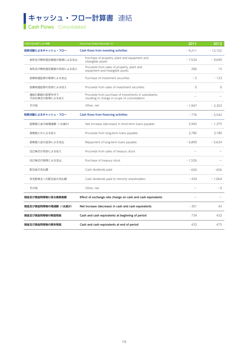## キャッシュ・フロー計算書 連結

**Cash Flows** Consolidated

| 12月31日に終了した1年間               | Fiscal Year Ended December 31                                                                          | 2011                     | 2012                     |
|------------------------------|--------------------------------------------------------------------------------------------------------|--------------------------|--------------------------|
| 投資活動によるキャッシュ・フロー             | Cash flows from investing activities                                                                   | $-9,211$                 | $-12,102$                |
| 有形及び無形固定資産の取得による支出           | Purchase of property, plant and equipment and<br>intangible assets                                     | $-7,524$                 | $-9,690$                 |
| 有形及び無形固定資産の売却による収入           | Proceeds from sales of property, plant and<br>equipment and intangible assets                          | 266                      | 15                       |
| 投資有価証券の取得による支出               | Purchase of investment securities                                                                      | $-5$                     | $-123$                   |
| 投資有価証券の売却による収入               | Proceeds from sales of investment securities                                                           | $\circ$                  | $\circ$                  |
| 連結の範囲の変更を伴う<br>子会社株式の取得による収入 | Proceeds from purchase of investments in subsidiaries<br>resulting in change in scope of consolidation |                          | $\sim$                   |
| その他                          | Other, net                                                                                             | $-1,947$                 | $-2,303$                 |
| 財務活動によるキャッシュ・フロー             | Cash flows from financing activities                                                                   | $-776$                   | $-5,542$                 |
| 短期借入金の純増減額 (-は減少)            | Net increase (decrease) in short-term loans payable                                                    | 5,945                    | $-1,375$                 |
| 長期借入れによる収入                   | Proceeds from long-term loans payable                                                                  | 2,780                    | 3,180                    |
| 長期借入金の返済による支出                | Repayment of long-term loans payable                                                                   | $-6,890$                 | $-5,624$                 |
| 自己株式の売却による収入                 | Proceeds from sales of treasury stock                                                                  |                          |                          |
| 自己株式の取得による支出                 | Purchase of treasury stock                                                                             | $-1,526$                 | $\overline{\phantom{a}}$ |
| 配当金の支払額                      | Cash dividends paid                                                                                    | $-650$                   | $-656$                   |
| 非支配株主への配当金の支払額               | Cash dividends paid to minority shareholders                                                           | $-434$                   | $-1,064$                 |
| その他                          | Other, net                                                                                             | $\overline{\phantom{a}}$ | $-0$                     |
| 現金及び現金同等物に係る換算差額             | Effect of exchange rate change on cash and cash equivalents                                            | $\overline{\phantom{a}}$ | $\overline{\phantom{a}}$ |
| 現金及び現金同等物の増減額 (-は減少)         | Net increase (decrease) in cash and cash equivalents                                                   | $-301$                   | 42                       |
| 現金及び現金同等物の期首残高               | Cash and cash equivalents at beginning of period                                                       | 734                      | 432                      |
| 現金及び現金同等物の期末残高               | Cash and cash equivalents at end of period                                                             | 432                      | 475                      |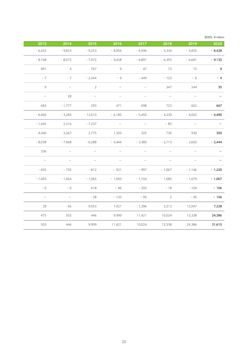| 百万円/¥ million            |                                 |                                 |                          |                                 |                                 |                                 |                          |
|--------------------------|---------------------------------|---------------------------------|--------------------------|---------------------------------|---------------------------------|---------------------------------|--------------------------|
| 2020                     | 2019                            | 2018                            | 2017                     | 2016                            | 2015                            | $\boxed{2014}$                  | 2013                     |
| $-8,428$                 | $-5,825$                        | $-5,334$                        | $-6,596$                 | $-8,956$                        | $-9,253$                        | $-9,823$                        | $-6,432$                 |
| $-9,135$                 | $-6,681$                        | $-6,355$                        | $-6,891$                 | $-9,428$                        | $-7,972$                        | $-8,072$                        | $-8,108$                 |
| 9                        | 15                              | 73                              | 47                       | 9                               | 767                             | $\overline{4}$                  | 991                      |
| $-4$                     | $-6$                            | $-123$                          | $-449$                   | $-9$                            | $-2,344$                        | $-7$                            | $-7$                     |
| 35                       | 244                             | 347                             | $\overline{\phantom{m}}$ | $\overline{\phantom{a}}$        | $\overline{2}$                  | $\overline{\phantom{a}}$        | 9 <sup>°</sup>           |
| $\overline{\phantom{a}}$ | $\overline{\phantom{a}}$        | $\hspace{0.1mm}-\hspace{0.1mm}$ | $\overline{\phantom{m}}$ | $\hspace{0.1mm}-\hspace{0.1mm}$ | $\hspace{0.1mm}-\hspace{0.1mm}$ | 28                              | $\overline{\phantom{a}}$ |
| 667                      | 602                             | 723                             | 698                      | 471                             | 293                             | $-1,777$                        | 682                      |
| $-4,490$                 | $-4,002$                        | $-4,239$                        | $-5,450$                 | $-6,185$                        | $-12,010$                       | $-3,284$                        | $-6,466$                 |
|                          | $\hspace{0.1mm}-\hspace{0.1mm}$ | $-85$                           | $\overline{\phantom{m}}$ | $\overline{\phantom{a}}$        | $-7,237$                        | 2,316                           | $-1,445$                 |
| 350                      | 930                             | 730                             | 325                      | 1,320                           | 2,775                           | 3,267                           | 4,440                    |
| $-2,444$                 | $-2,602$                        | $-2,713$                        | $-3,380$                 | $-5,444$                        | $-6,288$                        | $-7,068$                        | $-8,038$                 |
|                          | $\hspace{0.1mm}-\hspace{0.1mm}$ | $\overline{\phantom{m}}$        | $\overline{\phantom{m}}$ | $\overline{\phantom{a}}$        |                                 | $\overline{\phantom{a}}$        | 336                      |
|                          | $\hspace{0.1mm}-\hspace{0.1mm}$ | $\hspace{0.1mm}-\hspace{0.1mm}$ | $ \,$                    | $-$                             | $\hspace{0.1mm}-\hspace{0.1mm}$ | $\hspace{0.1mm}-\hspace{0.1mm}$ | $\overline{\phantom{m}}$ |
| $-1,220$                 | $-1,146$                        | $-1,067$                        | - 997                    | $-921$                          | $-812$                          | $-735$                          | $-692$                   |
| $-1,067$                 | $-1,079$                        | $-1,085$                        | $-1,104$                 | $-1,093$                        | $-1,065$                        | $-1,064$                        | $-1,065$                 |
| $-106$                   | $-104$                          | $-18$                           | $-292$                   | $-46$                           | 618                             | $-0$                            | $-0$                     |
| $-156$                   | $-45$                           | $\overline{2}$                  | $-95$                    | $-133$                          | $-28$                           | $\overline{\phantom{m}}$        | $\overline{\phantom{m}}$ |
| 7,228                    | 12,047                          | 2,313                           | $-1,396$                 | 1,421                           | 9,553                           | $-56$                           | 28                       |
| 24,386                   | 12,338                          | 10,024                          | 11,421                   | 9,999                           | 446                             | 503                             | 475                      |
| 31,615                   | 24,386                          | 12,338                          | 10,024                   | 11,421                          | 9,999                           | 446                             | 503                      |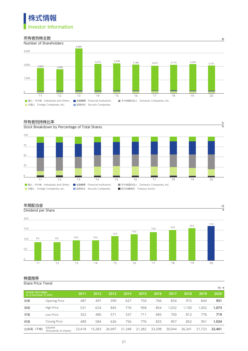



### 所有者別持株比率 %



#### 年間配当金 France France France France France France France France France France France France France France France

Dividend per Share



¥

### 株価推移

Share Price Trend

| -------------                           |                                 |        |        |        |        |        |        |        |        |        | 円/¥    |
|-----------------------------------------|---------------------------------|--------|--------|--------|--------|--------|--------|--------|--------|--------|--------|
| 2020年12月31日時点<br>As of December 31.2020 |                                 | 2011   | 2012   | 2013   | 2014   | 2015   | 2016   | 2017   | 2018   | 2019   | 2020   |
| 始值                                      | <b>Opening Price</b>            | 487    | 497    | 599    | 627    | 750    | 766    | 834    | 972    | 844    | 931    |
| 高値                                      | High Price                      | 531    | 624    | 845    | 776    | 958    | 854    | 1.032  | 1.100  | 1.002  | 1,073  |
| 安値                                      | Low Price                       | 352    | 480    | 571    | 537    | 711    | 685    | 700    | 812    | 776    | 719    |
| 終値                                      | <b>Closing Price</b>            | 489    | 584    | 626    | 756    | 776    | 825    | 957    | 852    | 951    | 1.034  |
| 出来高 (千株)                                | volume<br>(thousands of shares) | 23,418 | 15,283 | 26.997 | 21,348 | 21,282 | 33,298 | 30,044 | 26.341 | 21.723 | 22,401 |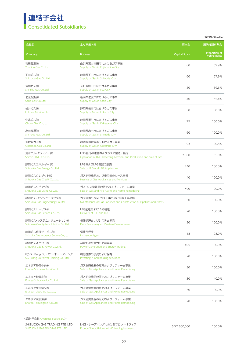### 連結子会社 Consolidated Subsidiaries

|                                                                |                                                                                                  |                      | 百万円/¥ million                  |
|----------------------------------------------------------------|--------------------------------------------------------------------------------------------------|----------------------|--------------------------------|
| 会社名                                                            | 主な事業内容                                                                                           | 資本金                  | 議決権所有割合                        |
| Company                                                        | <b>Business</b>                                                                                  | <b>Capital Stock</b> | Proportion of<br>voting rights |
| 吉田瓦斯㈱<br>Yoshida Gas Co., Ltd.                                 | 山梨県富士吉田市におけるガス事業<br>Supply of Gas in Fujiyoshida City                                            | 80                   | 69.9%                          |
| 下田ガス㈱<br>Shimoda Gas Co.,Ltd.                                  | 静岡県下田市におけるガス事業<br>Supply of Gas in Shimoda City                                                  | 60                   | 67.9%                          |
| 信州ガス㈱<br>Shinshu Gas Co.,Ltd.                                  | 長野県飯田市におけるガス事業<br>Supply of Gas in Iida City                                                     | 50                   | 69.6%                          |
| 佐渡瓦斯㈱<br>Sado Gas Co., Ltd.                                    | 新潟県佐渡市におけるガス事業<br>Supply of Gas in Sado City                                                     | 40                   | 65.4%                          |
| 袋井ガス㈱<br>Fukuroi Gas Co., Ltd.                                 | 静岡県袋井市におけるガス事業<br>Supply of Gas in Fukuroi City                                                  | 50                   | 50.0%                          |
| 中遠ガス㈱<br>Chuen Gas Co., Ltd.                                   | 静岡県掛川市におけるガス事業<br>Supply of Gas in Kakegawa City                                                 | 75                   | 100.0%                         |
| 島田瓦斯㈱<br>Shimada Gas Co.,Ltd.                                  | 静岡県島田市におけるガス事業<br>Supply of Gas in Shimada City                                                  | 60                   | 100.0%                         |
| 御殿場ガス㈱<br>Gotemba Gas Co., Ltd.                                | 静岡県御殿場市におけるガス事業<br>Supply of Gas in Gotemba City                                                 | 93                   | 90.5%                          |
| 清水エル・エヌ・ジー ㈱<br>Shimizu LNG CoLtd.                             | LNG基地の運営およびガスの製造・販売<br>Operation of LNG Receiving Terminal and Production and Sale of Gas        | 3,000                | 65.0%                          |
| 静岡ガスエネルギー ㈱<br>Shizuoka Gas Energy Co., Ltd.                   | LPGおよびLPG機器の販売<br>Sale of LPG and LPG Appliances                                                 | 240                  | 100.0%                         |
| 静岡ガスクレジット㈱<br>Shizuoka Gas Credit Co.,Ltd.                     | ガス消費機器および車両等のリース事業<br>Leasing of Gas Appliances and Vehicles                                     | 40                   | 100.0%                         |
| 静岡ガスリビング㈱<br>Shizuoka Gas Living Co., Ltd.                     | ガス・火災警報器の販売およびリフォーム事業<br>Sale of Gas and Fire Alarm and Home Remodeling                          | 400                  | 100.0%                         |
| 静岡ガス・エンジニアリング㈱<br>Shizuoka Gas Engineering Co., Ltd.           | ガス設備の保全、ガス工事および空調工事の施工<br>Maintenance of Gas Facilities and Construction of Pipelines and Plants | 30                   | 100.0%                         |
| 静岡ガスサービス㈱<br>Shizuoka Gas Service Co., Ltd.                    | LPG配送およびLNG輸送<br>Delivery of LPG and LNG                                                         | 20                   | 100.0%                         |
| 静岡ガス・システムソリューション㈱<br>Shizuoka Gas System Solution Co.,Ltd.     | 情報処理およびシステム開発<br>Data Processing and System Development                                          | 20                   | 100.0%                         |
| 静岡ガス保険サービス㈱<br>Shizuoka Gas Insurance Service CoLtd.           | 保険代理業<br><b>Insurance Agent</b>                                                                  | 18                   | 98.0%                          |
| 静岡ガス&パワー㈱<br>Shizuoka Gas & Power Co.,Ltd.                     | 発電および電力の売買事業<br>Power Generation and Energy Trading                                              | 495                  | 100.0%                         |
| ㈱SG・Bang Bo パワーホールディング<br>SG · Bang Bo Power Holding Co., Ltd. | 有価証券の投資および保有<br>Investing in and holding securities                                              | 20                   | 100.0%                         |
| エネリア静岡中央㈱<br>Enarea Shizuokachuo Co.,Ltd.                      | ガス消費機器の販売およびリフォーム事業<br>Sale of Gas Appliances and Home Remodeling                                | 30                   | 100.0%                         |
| エネリア静岡北㈱<br>Enarea Shizuokakita Co.,Ltd.                       | ガス消費機器の販売およびリフォーム事業<br>Sale of Gas Appliances and Home Remodeling                                | 30                   | 40.0%                          |
| エネリア東部中央㈱<br>Enarea Tobuchuo Co.,Ltd.                          | ガス消費機器の販売およびリフォーム事業<br>Sale of Gas Appliances and Home Remodeling                                | 30                   | 100.0%                         |
| エネリア東部東㈱<br>Enarea Tobuhigashi Co., Ltd.                       | ガス消費機器の販売およびリフォーム事業<br>Sale of Gas Appliances and Home Remodeling                                | 20                   | 100.0%                         |

<海外子会社 Overseas Subsidiary>

| SHIZUOKA GAS TRADING PTE. LTD. | LNGトレーディングにおけるフロントオフィス                          | SGD 800.000 | 100.0% |
|--------------------------------|-------------------------------------------------|-------------|--------|
| SHIZUOKA GAS TRADING PTE. LTD. | Front office activities in LNG trading business |             |        |